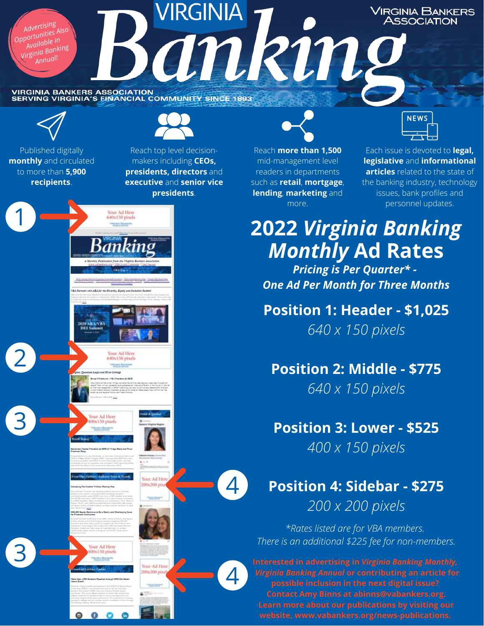**VIRGINIA VIRGINIA BANKERS<br>ASSOCIATION** *Advertising Opportunities Also* ankin. *Available in Virginia Banking Annual!*VIRGINIA BANKERS ASSOCIATION<br>SERVING VIRGINIA'S EINANCIAL COMMUNITY SINCE 1893

4

 $\boldsymbol{\varDelta}$ 



Published digitally **monthly** and circulated to more than **5,900 recipients**.

1

2

3



Reach top level decisionmakers including **CEOs, presidents, directors** and **executive** and **senior vice presidents**.

Your Ad Here<br>640x150 pixels

Your Ad Here 540x150 pixel

> Your Ad Here 00x200 pix

**2020 ABA/VBA** 

Your Ad Here<br>100x150 pixels

 $\bullet$ 



Reach **more than 1,500** mid-management level readers in departments such as **retail**, **mortgage**, **lending**, **marketing** and more.



Each issue is devoted to **legal, legislative** and **informational articles** related to the state of the banking industry, technology issues, bank profiles and personnel updates.

# **2022** *Virginia Banking Monthly* **Ad Rates**

*Pricing is Per Quarter\* - One Ad Per Month for Three Months*

**Position 1: Header - \$1,025** *640 x 150 pixels*

**Position 2: Middle - \$775** *640 x 150 pixels*

### **Position 3: Lower - \$525**

*400 x 150 pixels*

## **Position 4: Sidebar - \$275** *200 x 200 pixels*

*\*Rates listed are for VBA members.* **There is an additional \$225 fee for non-members.** 3 There is an additional \$225 fee for non-members.

> *Virginia Banking Annual* **or contributing an article for possible inclusion in the next digital issue? Contact Amy Binns at abinns@vabankers.org.**